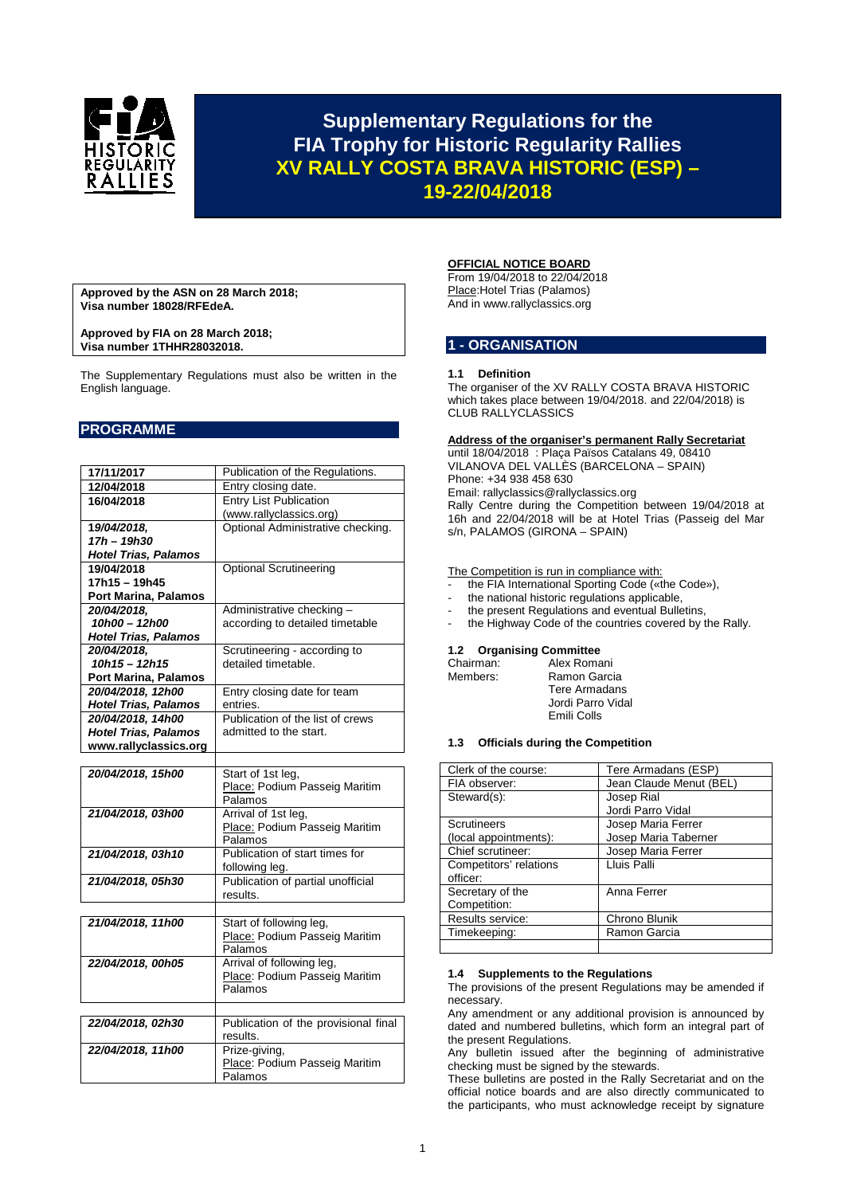

## **Supplementary Regulations for the FIA Trophy for Historic Regularity Rallies XV RALLY COSTA BRAVA HISTORIC (ESP) – 19-22/04/2018**

**Approved by the ASN on 28 March 2018; Visa number 18028/RFEdeA.**

**Approved by FIA on 28 March 2018; Visa number 1THHR28032018.**

The Supplementary Regulations must also be written in the English language.

## **PROGRAMME**

| 17/11/2017                  | Publication of the Regulations.      |
|-----------------------------|--------------------------------------|
| 12/04/2018                  | Entry closing date.                  |
| 16/04/2018                  | <b>Entry List Publication</b>        |
|                             | (www.rallyclassics.org)              |
| 19/04/2018.                 | Optional Administrative checking.    |
| 17h - 19h30                 |                                      |
| <b>Hotel Trias, Palamos</b> |                                      |
| 19/04/2018                  | <b>Optional Scrutineering</b>        |
| 17h15 – 19h45               |                                      |
| Port Marina, Palamos        |                                      |
| 20/04/2018,                 | Administrative checking -            |
| 10h00 - 12h00               | according to detailed timetable      |
| <b>Hotel Trias, Palamos</b> |                                      |
| 20/04/2018,                 | Scrutineering - according to         |
| $10h15 - 12h15$             | detailed timetable.                  |
|                             |                                      |
| Port Marina, Palamos        |                                      |
| 20/04/2018, 12h00           | Entry closing date for team          |
| <b>Hotel Trias, Palamos</b> | entries.                             |
| 20/04/2018, 14h00           | Publication of the list of crews     |
| <b>Hotel Trias, Palamos</b> | admitted to the start.               |
| www.rallyclassics.org       |                                      |
|                             |                                      |
| 20/04/2018, 15h00           | Start of 1st leg,                    |
|                             | Place: Podium Passeig Maritim        |
|                             | Palamos                              |
| 21/04/2018, 03h00           | Arrival of 1st leg,                  |
|                             | Place: Podium Passeig Maritim        |
|                             | Palamos                              |
| 21/04/2018, 03h10           | Publication of start times for       |
|                             | following leg.                       |
| 21/04/2018, 05h30           | Publication of partial unofficial    |
|                             | results.                             |
|                             |                                      |
| 21/04/2018, 11h00           | Start of following leg,              |
|                             | Place: Podium Passeig Maritim        |
|                             | Palamos                              |
| 22/04/2018, 00h05           | Arrival of following leg,            |
|                             | Place: Podium Passeig Maritim        |
|                             | Palamos                              |
|                             |                                      |
|                             |                                      |
| 22/04/2018, 02h30           | Publication of the provisional final |
|                             | results.                             |
| 22/04/2018, 11h00           | Prize-giving,                        |
|                             | Place: Podium Passeig Maritim        |
|                             | Palamos                              |

## **OFFICIAL NOTICE BOARD**

From 19/04/2018 to 22/04/2018 Place:Hotel Trias (Palamos) And in www.rallyclassics.org

## **1 - ORGANISATION**

#### **1.1 Definition**

The organiser of the XV RALLY COSTA BRAVA HISTORIC which takes place between 19/04/2018. and 22/04/2018) is CLUB RALLYCLASSICS

#### **Address of the organiser's permanent Rally Secretariat**

until 18/04/2018 : Plaça Països Catalans 49, 08410 VILANOVA DEL VALLÈS (BARCELONA – SPAIN) Phone: +34 938 458 630 Email: rallyclassics@rallyclassics.org Rally Centre during the Competition between 19/04/2018 at 16h and 22/04/2018 will be at Hotel Trias (Passeig del Mar s/n, PALAMOS (GIRONA – SPAIN)

The Competition is run in compliance with:

- the FIA International Sporting Code («the Code»),
- the national historic regulations applicable,
- the present Regulations and eventual Bulletins,
- the Highway Code of the countries covered by the Rally.

# **1.2 Organising Committee**

| Chairman: | Alex Romani          |
|-----------|----------------------|
| Members:  | Ramon Garcia         |
|           | <b>Tere Armadans</b> |
|           | Jordi Parro Vidal    |
|           | Emili Colls          |
|           |                      |

#### **1.3 Officials during the Competition**

| Clerk of the course:   | Tere Armadans (ESP)     |
|------------------------|-------------------------|
| FIA observer:          | Jean Claude Menut (BEL) |
| Steward(s):            | Josep Rial              |
|                        | Jordi Parro Vidal       |
| <b>Scrutineers</b>     | Josep Maria Ferrer      |
| (local appointments):  | Josep Maria Taberner    |
| Chief scrutineer:      | Josep Maria Ferrer      |
| Competitors' relations | Lluis Palli             |
| officer:               |                         |
| Secretary of the       | Anna Ferrer             |
| Competition:           |                         |
| Results service:       | Chrono Blunik           |
| Timekeeping:           | Ramon Garcia            |
|                        |                         |

#### **1.4 Supplements to the Regulations**

The provisions of the present Regulations may be amended if necessary.

Any amendment or any additional provision is announced by dated and numbered bulletins, which form an integral part of the present Regulations.

Any bulletin issued after the beginning of administrative checking must be signed by the stewards.

These bulletins are posted in the Rally Secretariat and on the official notice boards and are also directly communicated to the participants, who must acknowledge receipt by signature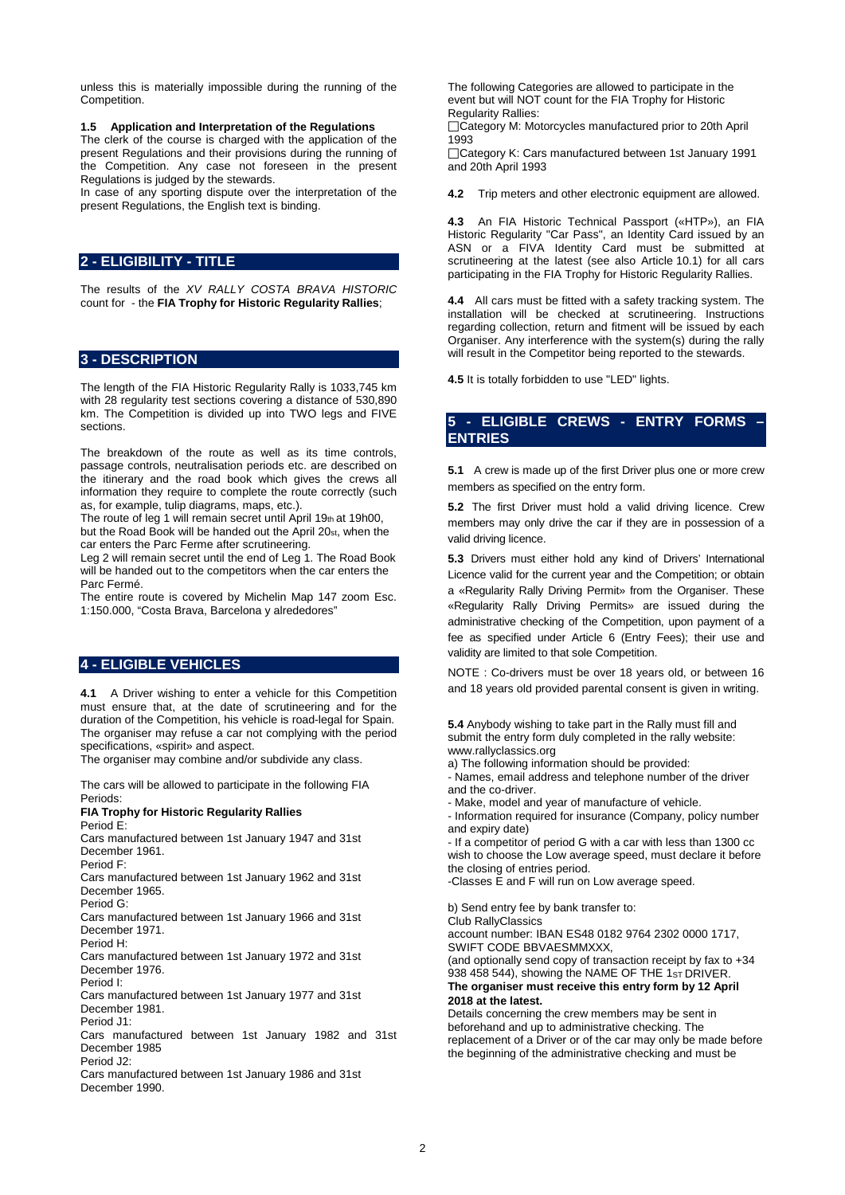unless this is materially impossible during the running of the Competition.

**1.5 Application and Interpretation of the Regulations**

The clerk of the course is charged with the application of the present Regulations and their provisions during the running of the Competition. Any case not foreseen in the present Regulations is judged by the stewards.

In case of any sporting dispute over the interpretation of the present Regulations, the English text is binding.

## **2 - ELIGIBILITY - TITLE**

The results of the *XV RALLY COSTA BRAVA HISTORIC*  count for - the **FIA Trophy for Historic Regularity Rallies**;

#### **3 - DESCRIPTION**

The length of the FIA Historic Regularity Rally is 1033,745 km with 28 regularity test sections covering a distance of 530,890 km. The Competition is divided up into TWO legs and FIVE sections.

The breakdown of the route as well as its time controls, passage controls, neutralisation periods etc. are described on the itinerary and the road book which gives the crews all information they require to complete the route correctly (such as, for example, tulip diagrams, maps, etc.).

The route of leg 1 will remain secret until April 19th at 19h00, but the Road Book will be handed out the April 20st, when the car enters the Parc Ferme after scrutineering.

Leg 2 will remain secret until the end of Leg 1. The Road Book will be handed out to the competitors when the car enters the Parc Fermé.

The entire route is covered by Michelin Map 147 zoom Esc. 1:150.000, "Costa Brava, Barcelona y alrededores"

## **4 - ELIGIBLE VEHICLES**

**4.1** A Driver wishing to enter a vehicle for this Competition must ensure that, at the date of scrutineering and for the duration of the Competition, his vehicle is road-legal for Spain. The organiser may refuse a car not complying with the period specifications, «spirit» and aspect.

The organiser may combine and/or subdivide any class.

The cars will be allowed to participate in the following FIA Periods:

## **FIA Trophy for Historic Regularity Rallies**

Period E: Cars manufactured between 1st January 1947 and 31st December 1961.

Period F:

Cars manufactured between 1st January 1962 and 31st December 1965.

Period G:

Cars manufactured between 1st January 1966 and 31st December 1971.

Period H:

Cars manufactured between 1st January 1972 and 31st December 1976.

Period I:

Cars manufactured between 1st January 1977 and 31st December 1981.

Period J1:

Cars manufactured between 1st January 1982 and 31st December 1985

Period J2:

Cars manufactured between 1st January 1986 and 31st December 1990.

The following Categories are allowed to participate in the event but will NOT count for the FIA Trophy for Historic Regularity Rallies:

□Category M: Motorcycles manufactured prior to 20th April 1993

□Category K: Cars manufactured between 1st January 1991 and 20th April 1993

**4.2** Trip meters and other electronic equipment are allowed.

**4.3** An FIA Historic Technical Passport («HTP»), an FIA Historic Regularity "Car Pass", an Identity Card issued by an ASN or a FIVA Identity Card must be submitted at scrutineering at the latest (see also Article 10.1) for all cars participating in the FIA Trophy for Historic Regularity Rallies.

**4.4** All cars must be fitted with a safety tracking system. The installation will be checked at scrutineering. Instructions regarding collection, return and fitment will be issued by each Organiser. Any interference with the system(s) during the rally will result in the Competitor being reported to the stewards.

**4.5** It is totally forbidden to use "LED" lights.

## **5 - ELIGIBLE CREWS - ENTRY FORMS – ENTRIES**

**5.1** A crew is made up of the first Driver plus one or more crew members as specified on the entry form.

**5.2** The first Driver must hold a valid driving licence. Crew members may only drive the car if they are in possession of a valid driving licence.

**5.3** Drivers must either hold any kind of Drivers' International Licence valid for the current year and the Competition; or obtain a «Regularity Rally Driving Permit» from the Organiser. These «Regularity Rally Driving Permits» are issued during the administrative checking of the Competition, upon payment of a fee as specified under Article 6 (Entry Fees); their use and validity are limited to that sole Competition.

NOTE : Co-drivers must be over 18 years old, or between 16 and 18 years old provided parental consent is given in writing.

**5.4** Anybody wishing to take part in the Rally must fill and submit the entry form duly completed in the rally website: www.rallyclassics.org

a) The following information should be provided:

- Names, email address and telephone number of the driver and the co-driver.

- Make, model and year of manufacture of vehicle.

- Information required for insurance (Company, policy number and expiry date)

- If a competitor of period G with a car with less than 1300 cc wish to choose the Low average speed, must declare it before the closing of entries period.

-Classes E and F will run on Low average speed.

b) Send entry fee by bank transfer to:

Club RallyClassics

account number: IBAN ES48 0182 9764 2302 0000 1717, SWIFT CODE BBVAESMMXXX,

(and optionally send copy of transaction receipt by fax to +34 938 458 544), showing the NAME OF THE 1ST DRIVER. **The organiser must receive this entry form by 12 April 2018 at the latest.** 

Details concerning the crew members may be sent in beforehand and up to administrative checking. The replacement of a Driver or of the car may only be made before the beginning of the administrative checking and must be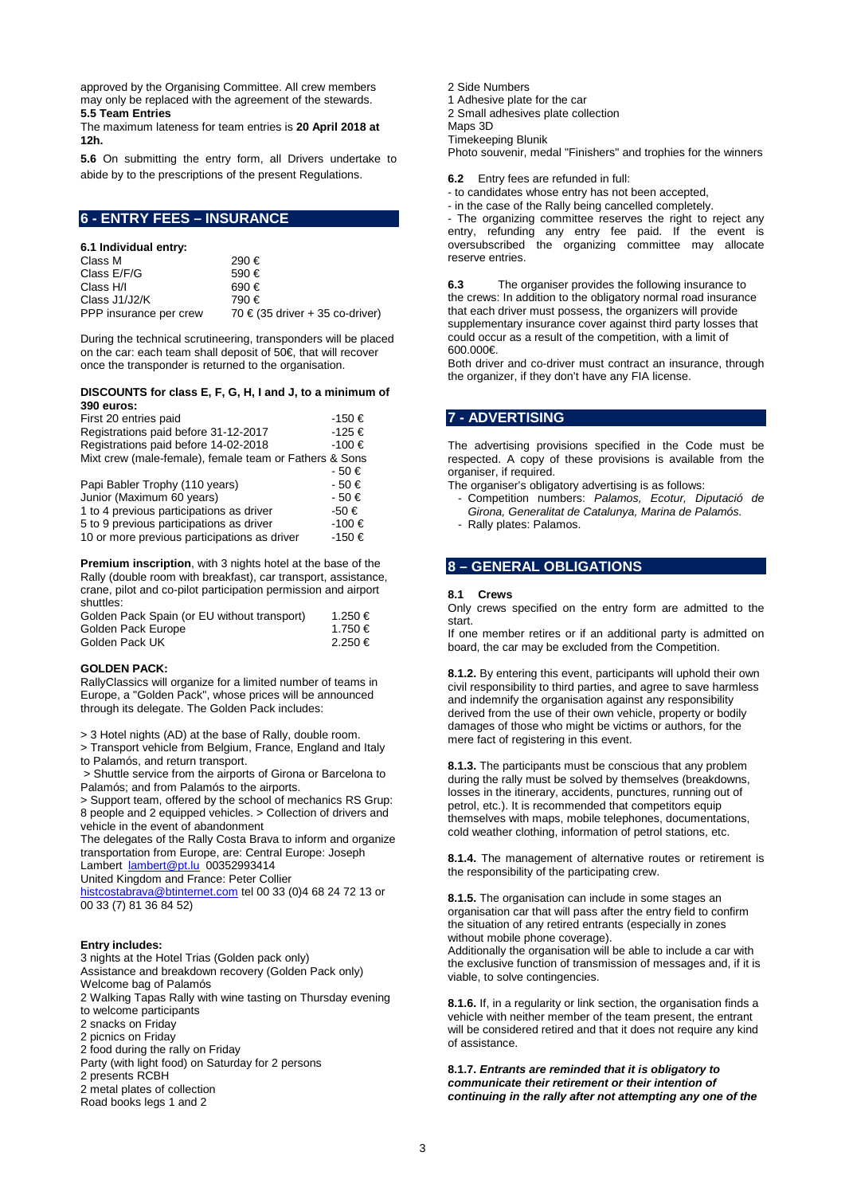approved by the Organising Committee. All crew members may only be replaced with the agreement of the stewards. **5.5 Team Entries** 

The maximum lateness for team entries is **20 April 2018 at 12h.** 

**5.6** On submitting the entry form, all Drivers undertake to abide by to the prescriptions of the present Regulations.

## **6 - ENTRY FEES – INSURANCE**

#### **6.1 Individual entry:**

| 290€                                |
|-------------------------------------|
| 590€                                |
| 690€                                |
| 790€                                |
| 70 $\in$ (35 driver + 35 co-driver) |
|                                     |

During the technical scrutineering, transponders will be placed on the car: each team shall deposit of 50€, that will recover once the transponder is returned to the organisation.

#### **DISCOUNTS for class E, F, G, H, I and J, to a minimum of 390 euros:**

| First 20 entries paid                                  | -150€     |
|--------------------------------------------------------|-----------|
| Registrations paid before 31-12-2017                   | -125€     |
| Registrations paid before 14-02-2018                   | -100 €    |
| Mixt crew (male-female), female team or Fathers & Sons |           |
|                                                        | $-50 \in$ |
| Papi Babler Trophy (110 years)                         | $-50 \in$ |
| Junior (Maximum 60 years)                              | $-50 \in$ |
| 1 to 4 previous participations as driver               | -50 €     |
| 5 to 9 previous participations as driver               | -100 €    |
| 10 or more previous participations as driver           | -150€     |

**Premium inscription**, with 3 nights hotel at the base of the Rally (double room with breakfast), car transport, assistance, crane, pilot and co-pilot participation permission and airport shuttles:

| Golden Pack Spain (or EU without transport) | 1.250 € |
|---------------------------------------------|---------|
| Golden Pack Europe                          | 1.750 € |
| Golden Pack UK                              | 2.250 € |

#### **GOLDEN PACK:**

RallyClassics will organize for a limited number of teams in Europe, a "Golden Pack", whose prices will be announced through its delegate. The Golden Pack includes:

> 3 Hotel nights (AD) at the base of Rally, double room.

> Transport vehicle from Belgium, France, England and Italy to Palamós, and return transport.

> Shuttle service from the airports of Girona or Barcelona to Palamós; and from Palamós to the airports.

> Support team, offered by the school of mechanics RS Grup: 8 people and 2 equipped vehicles. > Collection of drivers and vehicle in the event of abandonment

The delegates of the Rally Costa Brava to inform and organize transportation from Europe, are: Central Europe: Joseph Lambert [lambert@pt.lu](mailto:lambert@pt.lu) 00352993414

United Kingdom and France: Peter Collier

[histcostabrava@btinternet.com](mailto:histcostabrava@btinternet.com) tel 00 33 (0)4 68 24 72 13 or 00 33 (7) 81 36 84 52)

#### **Entry includes:**

3 nights at the Hotel Trias (Golden pack only) Assistance and breakdown recovery (Golden Pack only) Welcome bag of Palamós 2 Walking Tapas Rally with wine tasting on Thursday evening to welcome participants 2 snacks on Friday 2 picnics on Friday 2 food during the rally on Friday Party (with light food) on Saturday for 2 persons 2 presents RCBH 2 metal plates of collection Road books legs 1 and 2

2 Side Numbers

1 Adhesive plate for the car

2 Small adhesives plate collection

Maps 3D

Timekeeping Blunik

Photo souvenir, medal "Finishers" and trophies for the winners

**6.2** Entry fees are refunded in full:

- to candidates whose entry has not been accepted,

- in the case of the Rally being cancelled completely.

- The organizing committee reserves the right to reject any entry, refunding any entry fee paid. If the event is oversubscribed the organizing committee may allocate reserve entries.

**6.3** The organiser provides the following insurance to the crews: In addition to the obligatory normal road insurance that each driver must possess, the organizers will provide supplementary insurance cover against third party losses that could occur as a result of the competition, with a limit of 600.000€.

Both driver and co-driver must contract an insurance, through the organizer, if they don't have any FIA license.

## **7 - ADVERTISING**

The advertising provisions specified in the Code must be respected. A copy of these provisions is available from the organiser, if required.

The organiser's obligatory advertising is as follows:

- Competition numbers: *Palamos, Ecotur, Diputació de Girona, Generalitat de Catalunya, Marina de Palamós.*
- Rally plates: Palamos.

## **8 – GENERAL OBLIGATIONS**

#### **8.1 Crews**

Only crews specified on the entry form are admitted to the start.

If one member retires or if an additional party is admitted on board, the car may be excluded from the Competition.

**8.1.2.** By entering this event, participants will uphold their own civil responsibility to third parties, and agree to save harmless and indemnify the organisation against any responsibility derived from the use of their own vehicle, property or bodily damages of those who might be victims or authors, for the mere fact of registering in this event.

**8.1.3.** The participants must be conscious that any problem during the rally must be solved by themselves (breakdowns, losses in the itinerary, accidents, punctures, running out of petrol, etc.). It is recommended that competitors equip themselves with maps, mobile telephones, documentations, cold weather clothing, information of petrol stations, etc.

**8.1.4.** The management of alternative routes or retirement is the responsibility of the participating crew.

**8.1.5.** The organisation can include in some stages an organisation car that will pass after the entry field to confirm the situation of any retired entrants (especially in zones without mobile phone coverage).

Additionally the organisation will be able to include a car with the exclusive function of transmission of messages and, if it is viable, to solve contingencies.

**8.1.6.** If, in a regularity or link section, the organisation finds a vehicle with neither member of the team present, the entrant will be considered retired and that it does not require any kind of assistance.

**8.1.7.** *Entrants are reminded that it is obligatory to communicate their retirement or their intention of continuing in the rally after not attempting any one of the*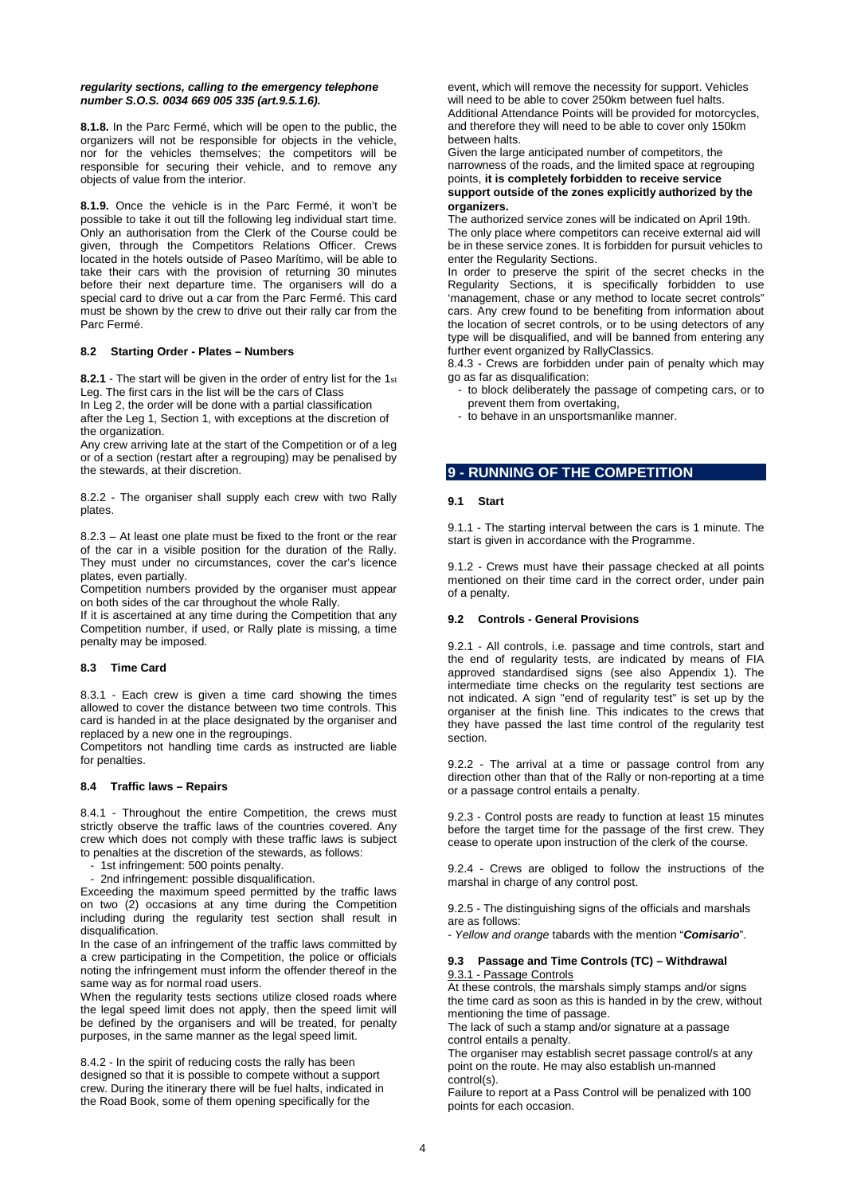#### *regularity sections, calling to the emergency telephone number S.O.S. 0034 669 005 335 (art.9.5.1.6).*

**8.1.8.** In the Parc Fermé, which will be open to the public, the organizers will not be responsible for objects in the vehicle, nor for the vehicles themselves; the competitors will be responsible for securing their vehicle, and to remove any objects of value from the interior.

**8.1.9.** Once the vehicle is in the Parc Fermé, it won't be possible to take it out till the following leg individual start time. Only an authorisation from the Clerk of the Course could be given, through the Competitors Relations Officer. Crews located in the hotels outside of Paseo Marítimo, will be able to take their cars with the provision of returning 30 minutes before their next departure time. The organisers will do a special card to drive out a car from the Parc Fermé. This card must be shown by the crew to drive out their rally car from the Parc Fermé.

#### **8.2 Starting Order - Plates – Numbers**

**8.2.1** - The start will be given in the order of entry list for the 1st Leg. The first cars in the list will be the cars of Class In Leg 2, the order will be done with a partial classification after the Leg 1, Section 1, with exceptions at the discretion of

the organization. Any crew arriving late at the start of the Competition or of a leg

or of a section (restart after a regrouping) may be penalised by the stewards, at their discretion.

8.2.2 - The organiser shall supply each crew with two Rally plates.

8.2.3 – At least one plate must be fixed to the front or the rear of the car in a visible position for the duration of the Rally. They must under no circumstances, cover the car's licence plates, even partially.

Competition numbers provided by the organiser must appear on both sides of the car throughout the whole Rally.

If it is ascertained at any time during the Competition that any Competition number, if used, or Rally plate is missing, a time penalty may be imposed.

#### **8.3 Time Card**

8.3.1 - Each crew is given a time card showing the times allowed to cover the distance between two time controls. This card is handed in at the place designated by the organiser and replaced by a new one in the regroupings.

Competitors not handling time cards as instructed are liable for penalties.

#### **8.4 Traffic laws – Repairs**

8.4.1 - Throughout the entire Competition, the crews must strictly observe the traffic laws of the countries covered. Any crew which does not comply with these traffic laws is subject to penalties at the discretion of the stewards, as follows:

- 1st infringement: 500 points penalty.
- 2nd infringement: possible disqualification.

Exceeding the maximum speed permitted by the traffic laws on two (2) occasions at any time during the Competition including during the regularity test section shall result in disqualification.

In the case of an infringement of the traffic laws committed by a crew participating in the Competition, the police or officials noting the infringement must inform the offender thereof in the same way as for normal road users.

When the regularity tests sections utilize closed roads where the legal speed limit does not apply, then the speed limit will be defined by the organisers and will be treated, for penalty purposes, in the same manner as the legal speed limit.

8.4.2 - In the spirit of reducing costs the rally has been designed so that it is possible to compete without a support crew. During the itinerary there will be fuel halts, indicated in the Road Book, some of them opening specifically for the

event, which will remove the necessity for support. Vehicles will need to be able to cover 250km between fuel halts. Additional Attendance Points will be provided for motorcycles, and therefore they will need to be able to cover only 150km between halts.

Given the large anticipated number of competitors, the narrowness of the roads, and the limited space at regrouping points, **it is completely forbidden to receive service support outside of the zones explicitly authorized by the organizers.** 

The authorized service zones will be indicated on April 19th. The only place where competitors can receive external aid will be in these service zones. It is forbidden for pursuit vehicles to enter the Regularity Sections.

In order to preserve the spirit of the secret checks in the Regularity Sections, it is specifically forbidden to use 'management, chase or any method to locate secret controls" cars. Any crew found to be benefiting from information about the location of secret controls, or to be using detectors of any type will be disqualified, and will be banned from entering any further event organized by RallyClassics.

8.4.3 - Crews are forbidden under pain of penalty which may go as far as disqualification:

- to block deliberately the passage of competing cars, or to prevent them from overtaking,
- to behave in an unsportsmanlike manner.

## **9 - RUNNING OF THE COMPETITION**

#### **9.1 Start**

9.1.1 - The starting interval between the cars is 1 minute. The start is given in accordance with the Programme.

9.1.2 - Crews must have their passage checked at all points mentioned on their time card in the correct order, under pain of a penalty.

#### **9.2 Controls - General Provisions**

9.2.1 - All controls, i.e. passage and time controls, start and the end of regularity tests, are indicated by means of FIA approved standardised signs (see also Appendix 1). The intermediate time checks on the regularity test sections are not indicated. A sign "end of regularity test" is set up by the organiser at the finish line. This indicates to the crews that they have passed the last time control of the regularity test section.

9.2.2 - The arrival at a time or passage control from any direction other than that of the Rally or non-reporting at a time or a passage control entails a penalty.

9.2.3 - Control posts are ready to function at least 15 minutes before the target time for the passage of the first crew. They cease to operate upon instruction of the clerk of the course.

9.2.4 - Crews are obliged to follow the instructions of the marshal in charge of any control post.

9.2.5 - The distinguishing signs of the officials and marshals are as follows:

- *Yellow and orange* tabards with the mention "*Comisario*".

#### **9.3 Passage and Time Controls (TC) – Withdrawal** 9.3.1 - Passage Controls

At these controls, the marshals simply stamps and/or signs the time card as soon as this is handed in by the crew, without mentioning the time of passage.

The lack of such a stamp and/or signature at a passage control entails a penalty.

The organiser may establish secret passage control/s at any point on the route. He may also establish un-manned control(s).

Failure to report at a Pass Control will be penalized with 100 points for each occasion.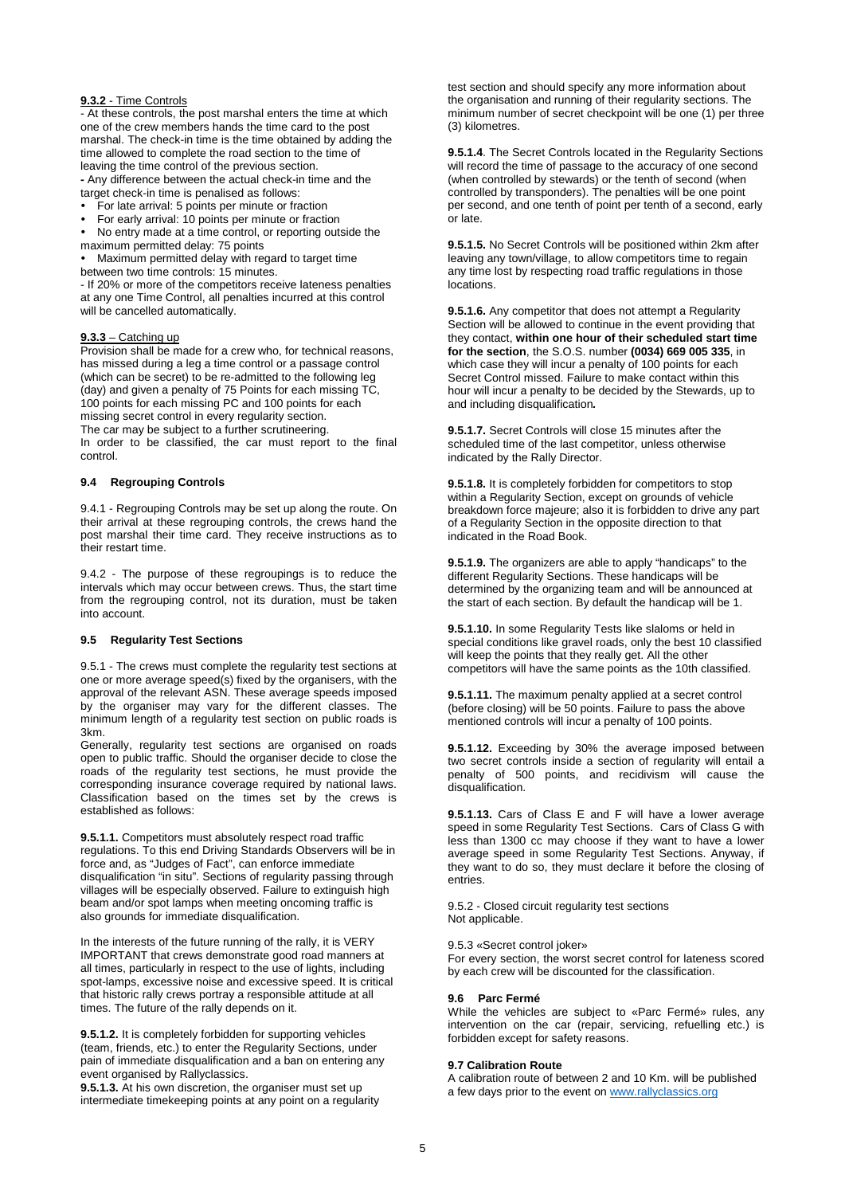#### **9.3.2** - Time Controls

- At these controls, the post marshal enters the time at which one of the crew members hands the time card to the post marshal. The check-in time is the time obtained by adding the time allowed to complete the road section to the time of leaving the time control of the previous section.

**-** Any difference between the actual check-in time and the target check-in time is penalised as follows:

- For late arrival: 5 points per minute or fraction
- For early arrival: 10 points per minute or fraction

 No entry made at a time control, or reporting outside the maximum permitted delay: 75 points

 Maximum permitted delay with regard to target time between two time controls: 15 minutes.

- If 20% or more of the competitors receive lateness penalties at any one Time Control, all penalties incurred at this control will be cancelled automatically.

#### **9.3.3** – Catching up

Provision shall be made for a crew who, for technical reasons, has missed during a leg a time control or a passage control (which can be secret) to be re-admitted to the following leg (day) and given a penalty of 75 Points for each missing TC, 100 points for each missing PC and 100 points for each missing secret control in every regularity section. The car may be subject to a further scrutineering.

In order to be classified, the car must report to the final control.

#### **9.4 Regrouping Controls**

9.4.1 - Regrouping Controls may be set up along the route. On their arrival at these regrouping controls, the crews hand the post marshal their time card. They receive instructions as to their restart time.

9.4.2 - The purpose of these regroupings is to reduce the intervals which may occur between crews. Thus, the start time from the regrouping control, not its duration, must be taken into account.

#### **9.5 Regularity Test Sections**

9.5.1 - The crews must complete the regularity test sections at one or more average speed(s) fixed by the organisers, with the approval of the relevant ASN. These average speeds imposed by the organiser may vary for the different classes. The minimum length of a regularity test section on public roads is 3km.

Generally, regularity test sections are organised on roads open to public traffic. Should the organiser decide to close the roads of the regularity test sections, he must provide the corresponding insurance coverage required by national laws. Classification based on the times set by the crews is established as follows:

**9.5.1.1.** Competitors must absolutely respect road traffic regulations. To this end Driving Standards Observers will be in force and, as "Judges of Fact", can enforce immediate disqualification "in situ". Sections of regularity passing through villages will be especially observed. Failure to extinguish high beam and/or spot lamps when meeting oncoming traffic is also grounds for immediate disqualification.

In the interests of the future running of the rally, it is VERY IMPORTANT that crews demonstrate good road manners at all times, particularly in respect to the use of lights, including spot-lamps, excessive noise and excessive speed. It is critical that historic rally crews portray a responsible attitude at all times. The future of the rally depends on it.

**9.5.1.2.** It is completely forbidden for supporting vehicles (team, friends, etc.) to enter the Regularity Sections, under pain of immediate disqualification and a ban on entering any event organised by Rallyclassics.

**9.5.1.3.** At his own discretion, the organiser must set up intermediate timekeeping points at any point on a regularity test section and should specify any more information about the organisation and running of their regularity sections. The minimum number of secret checkpoint will be one (1) per three (3) kilometres.

**9.5.1.4**. The Secret Controls located in the Regularity Sections will record the time of passage to the accuracy of one second (when controlled by stewards) or the tenth of second (when controlled by transponders). The penalties will be one point per second, and one tenth of point per tenth of a second, early or late.

**9.5.1.5.** No Secret Controls will be positioned within 2km after leaving any town/village, to allow competitors time to regain any time lost by respecting road traffic regulations in those locations.

**9.5.1.6.** Any competitor that does not attempt a Regularity Section will be allowed to continue in the event providing that they contact, **within one hour of their scheduled start time for the section**, the S.O.S. number **(0034) 669 005 335**, in which case they will incur a penalty of 100 points for each Secret Control missed. Failure to make contact within this hour will incur a penalty to be decided by the Stewards, up to and including disqualification*.* 

**9.5.1.7.** Secret Controls will close 15 minutes after the scheduled time of the last competitor, unless otherwise indicated by the Rally Director.

**9.5.1.8.** It is completely forbidden for competitors to stop within a Regularity Section, except on grounds of vehicle breakdown force majeure; also it is forbidden to drive any part of a Regularity Section in the opposite direction to that indicated in the Road Book.

**9.5.1.9.** The organizers are able to apply "handicaps" to the different Regularity Sections. These handicaps will be determined by the organizing team and will be announced at the start of each section. By default the handicap will be 1.

**9.5.1.10.** In some Regularity Tests like slaloms or held in special conditions like gravel roads, only the best 10 classified will keep the points that they really get. All the other competitors will have the same points as the 10th classified.

**9.5.1.11.** The maximum penalty applied at a secret control (before closing) will be 50 points. Failure to pass the above mentioned controls will incur a penalty of 100 points.

**9.5.1.12.** Exceeding by 30% the average imposed between two secret controls inside a section of regularity will entail a penalty of 500 points, and recidivism will cause the disqualification.

**9.5.1.13.** Cars of Class E and F will have a lower average speed in some Regularity Test Sections. Cars of Class G with less than 1300 cc may choose if they want to have a lower average speed in some Regularity Test Sections. Anyway, if they want to do so, they must declare it before the closing of entries.

9.5.2 - Closed circuit regularity test sections Not applicable.

9.5.3 «Secret control joker»

For every section, the worst secret control for lateness scored by each crew will be discounted for the classification.

#### **9.6 Parc Fermé**

While the vehicles are subject to «Parc Fermé» rules, any intervention on the car (repair, servicing, refuelling etc.) is forbidden except for safety reasons.

#### **9.7 Calibration Route**

A calibration route of between 2 and 10 Km. will be published a few days prior to the event on [www.rallyclassics.org](http://www.rallyclassics.org/)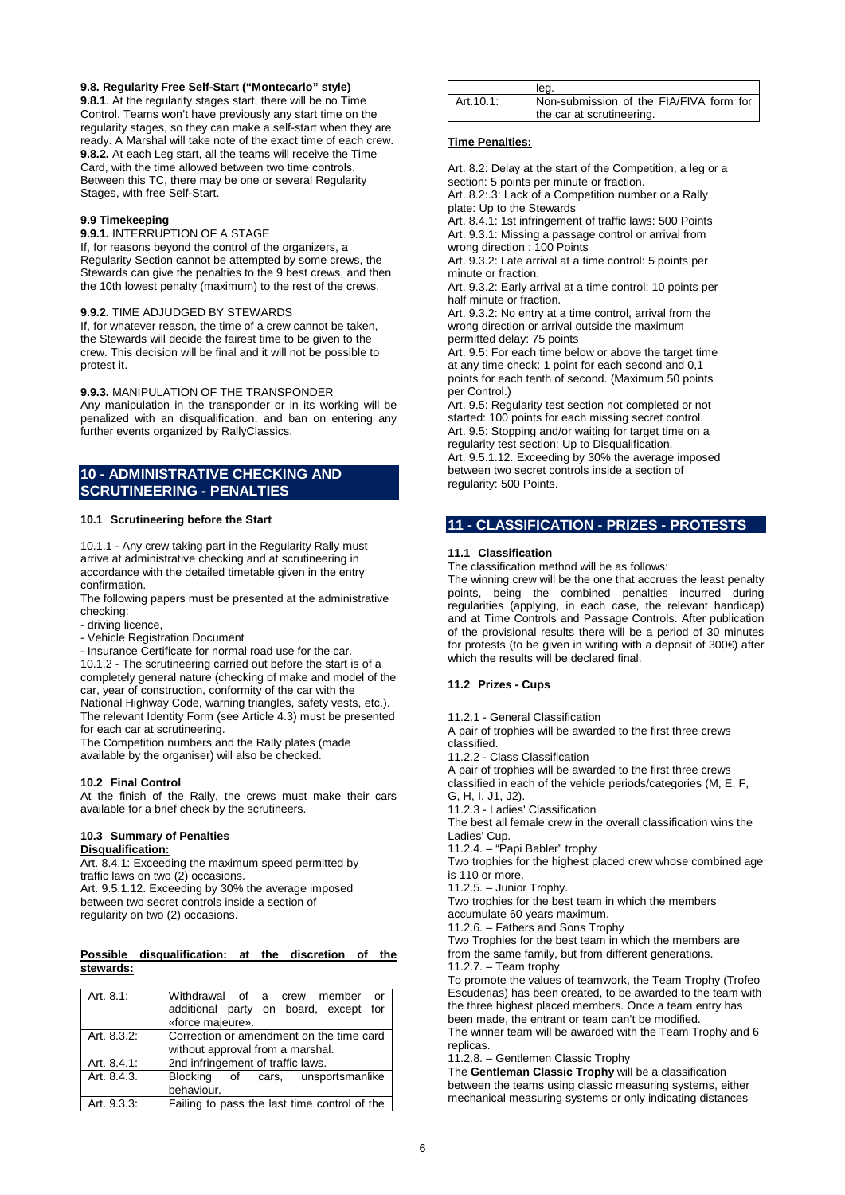#### **9.8. Regularity Free Self-Start ("Montecarlo" style)**

**9.8.1**. At the regularity stages start, there will be no Time Control. Teams won't have previously any start time on the regularity stages, so they can make a self-start when they are ready. A Marshal will take note of the exact time of each crew. **9.8.2.** At each Leg start, all the teams will receive the Time Card, with the time allowed between two time controls. Between this TC, there may be one or several Regularity Stages, with free Self-Start.

#### **9.9 Timekeeping**

**9.9.1.** INTERRUPTION OF A STAGE

If, for reasons beyond the control of the organizers, a Regularity Section cannot be attempted by some crews, the Stewards can give the penalties to the 9 best crews, and then the 10th lowest penalty (maximum) to the rest of the crews.

#### **9.9.2.** TIME ADJUDGED BY STEWARDS

If, for whatever reason, the time of a crew cannot be taken, the Stewards will decide the fairest time to be given to the crew. This decision will be final and it will not be possible to protest it.

#### **9.9.3.** MANIPULATION OF THE TRANSPONDER

Any manipulation in the transponder or in its working will be penalized with an disqualification, and ban on entering any further events organized by RallyClassics.

## **10 - ADMINISTRATIVE CHECKING AND SCRUTINEERING - PENALTIES**

#### **10.1 Scrutineering before the Start**

10.1.1 - Any crew taking part in the Regularity Rally must arrive at administrative checking and at scrutineering in accordance with the detailed timetable given in the entry confirmation.

The following papers must be presented at the administrative checking:

- driving licence,
- Vehicle Registration Document

- Insurance Certificate for normal road use for the car. 10.1.2 - The scrutineering carried out before the start is of a completely general nature (checking of make and model of the car, year of construction, conformity of the car with the National Highway Code, warning triangles, safety vests, etc.). The relevant Identity Form (see Article 4.3) must be presented for each car at scrutineering.

The Competition numbers and the Rally plates (made available by the organiser) will also be checked.

#### **10.2 Final Control**

At the finish of the Rally, the crews must make their cars available for a brief check by the scrutineers.

## **10.3 Summary of Penalties**

## **Disqualification:**

Art. 8.4.1: Exceeding the maximum speed permitted by traffic laws on two (2) occasions. Art. 9.5.1.12. Exceeding by 30% the average imposed between two secret controls inside a section of regularity on two (2) occasions.

#### **Possible disqualification: at the discretion of the stewards:**

| Art. 8.1:   | Withdrawal of a crew member<br>or            |
|-------------|----------------------------------------------|
|             | additional party on board, except for        |
|             | «force majeure».                             |
| Art. 8.3.2: | Correction or amendment on the time card     |
|             | without approval from a marshal.             |
| Art. 8.4.1: | 2nd infringement of traffic laws.            |
| Art. 8.4.3. | Blocking of cars, unsportsmanlike            |
|             | behaviour.                                   |
| Art. 9.3.3: | Failing to pass the last time control of the |

|            | leg.                                    |
|------------|-----------------------------------------|
| Art. 10.1: | Non-submission of the FIA/FIVA form for |
|            | the car at scrutineering.               |

#### **Time Penalties:**

Art. 8.2: Delay at the start of the Competition, a leg or a section: 5 points per minute or fraction. Art. 8.2:.3: Lack of a Competition number or a Rally plate: Up to the Stewards Art. 8.4.1: 1st infringement of traffic laws: 500 Points Art. 9.3.1: Missing a passage control or arrival from wrong direction : 100 Points

Art. 9.3.2: Late arrival at a time control: 5 points per minute or fraction.

Art. 9.3.2: Early arrival at a time control: 10 points per half minute or fraction.

Art. 9.3.2: No entry at a time control, arrival from the wrong direction or arrival outside the maximum permitted delay: 75 points

Art. 9.5: For each time below or above the target time at any time check: 1 point for each second and 0,1 points for each tenth of second. (Maximum 50 points per Control.)

Art. 9.5: Regularity test section not completed or not started: 100 points for each missing secret control. Art. 9.5: Stopping and/or waiting for target time on a regularity test section: Up to Disqualification. Art. 9.5.1.12. Exceeding by 30% the average imposed between two secret controls inside a section of regularity: 500 Points.

#### **11 - CLASSIFICATION - PRIZES - PROTESTS**

#### **11.1 Classification**

The classification method will be as follows:

The winning crew will be the one that accrues the least penalty points, being the combined penalties incurred during regularities (applying, in each case, the relevant handicap) and at Time Controls and Passage Controls. After publication of the provisional results there will be a period of 30 minutes for protests (to be given in writing with a deposit of 300€) after which the results will be declared final.

#### **11.2 Prizes - Cups**

11.2.1 - General Classification

A pair of trophies will be awarded to the first three crews classified. 11.2.2 - Class Classification A pair of trophies will be awarded to the first three crews classified in each of the vehicle periods/categories (M, E, F, G, H, I, J1, J2). 11.2.3 - Ladies' Classification The best all female crew in the overall classification wins the Ladies' Cup. 11.2.4. – "Papi Babler" trophy Two trophies for the highest placed crew whose combined age is 110 or more. 11.2.5. – Junior Trophy. Two trophies for the best team in which the members accumulate 60 years maximum. 11.2.6. – Fathers and Sons Trophy Two Trophies for the best team in which the members are from the same family, but from different generations. 11.2.7. – Team trophy To promote the values of teamwork, the Team Trophy (Trofeo Escuderias) has been created, to be awarded to the team with the three highest placed members. Once a team entry has been made, the entrant or team can't be modified.

The winner team will be awarded with the Team Trophy and 6 replicas.

11.2.8. – Gentlemen Classic Trophy

The **Gentleman Classic Trophy** will be a classification between the teams using classic measuring systems, either mechanical measuring systems or only indicating distances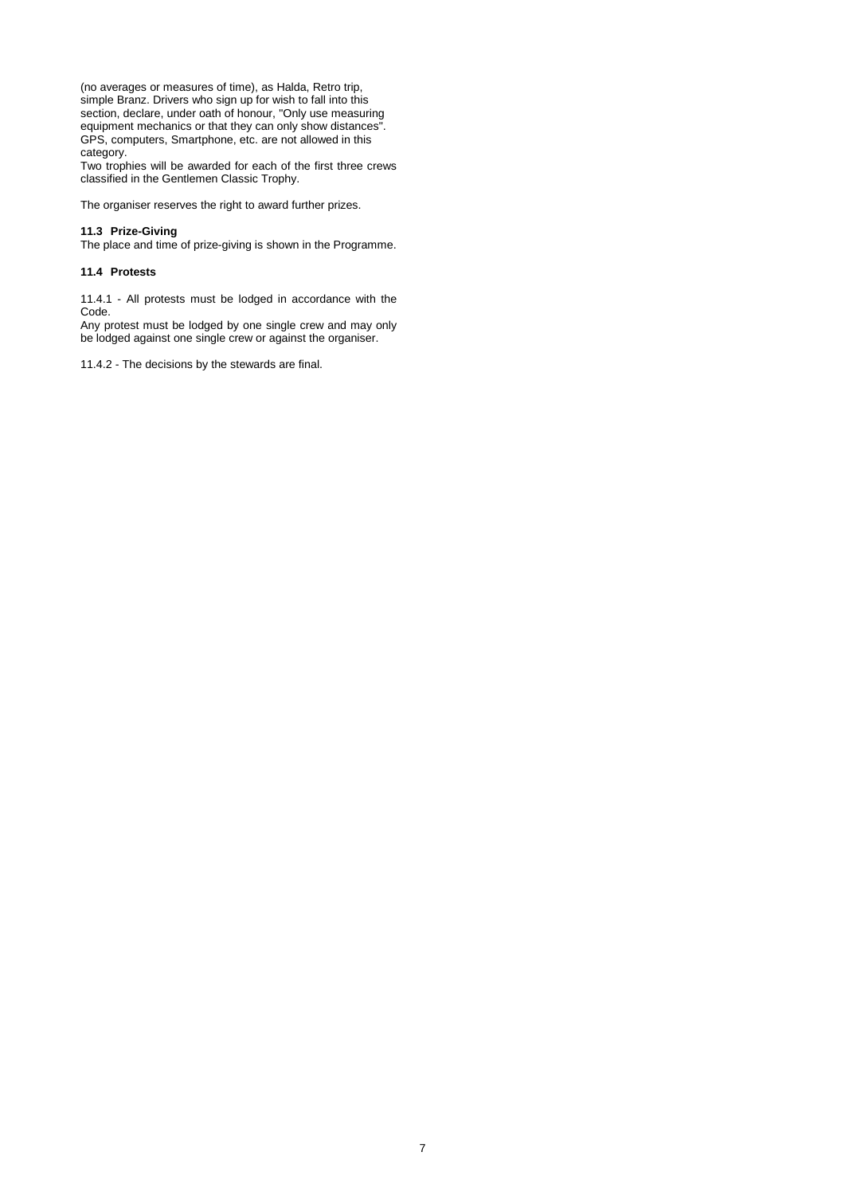(no averages or measures of time), as Halda, Retro trip, simple Branz. Drivers who sign up for wish to fall into this section, declare, under oath of honour, "Only use measuring equipment mechanics or that they can only show distances". GPS, computers, Smartphone, etc. are not allowed in this category.

Two trophies will be awarded for each of the first three crews classified in the Gentlemen Classic Trophy.

The organiser reserves the right to award further prizes.

#### **11.3 Prize-Giving**

The place and time of prize-giving is shown in the Programme.

#### **11.4 Protests**

11.4.1 - All protests must be lodged in accordance with the Code.

Any protest must be lodged by one single crew and may only be lodged against one single crew or against the organiser.

11.4.2 - The decisions by the stewards are final.